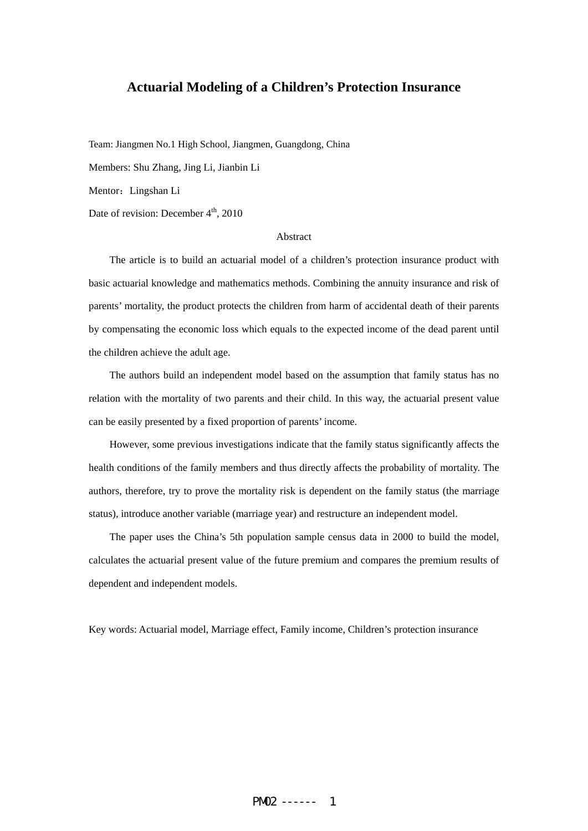# **Actuarial Modeling of a Children's Protection Insurance**

Team: Jiangmen No.1 High School, Jiangmen, Guangdong, China Members: Shu Zhang, Jing Li, Jianbin Li Mentor: Lingshan Li Date of revision: December  $4<sup>th</sup>$ , 2010

#### Abstract

 The article is to build an actuarial model of a children's protection insurance product with basic actuarial knowledge and mathematics methods. Combining the annuity insurance and risk of parents' mortality, the product protects the children from harm of accidental death of their parents by compensating the economic loss which equals to the expected income of the dead parent until the children achieve the adult age.

The authors build an independent model based on the assumption that family status has no relation with the mortality of two parents and their child. In this way, the actuarial present value can be easily presented by a fixed proportion of parents' income.

However, some previous investigations indicate that the family status significantly affects the health conditions of the family members and thus directly affects the probability of mortality. The authors, therefore, try to prove the mortality risk is dependent on the family status (the marriage status), introduce another variable (marriage year) and restructure an independent model.

 The paper uses the China's 5th population sample census data in 2000 to build the model, calculates the actuarial present value of the future premium and compares the premium results of dependent and independent models.

Key words: Actuarial model, Marriage effect, Family income, Children's protection insurance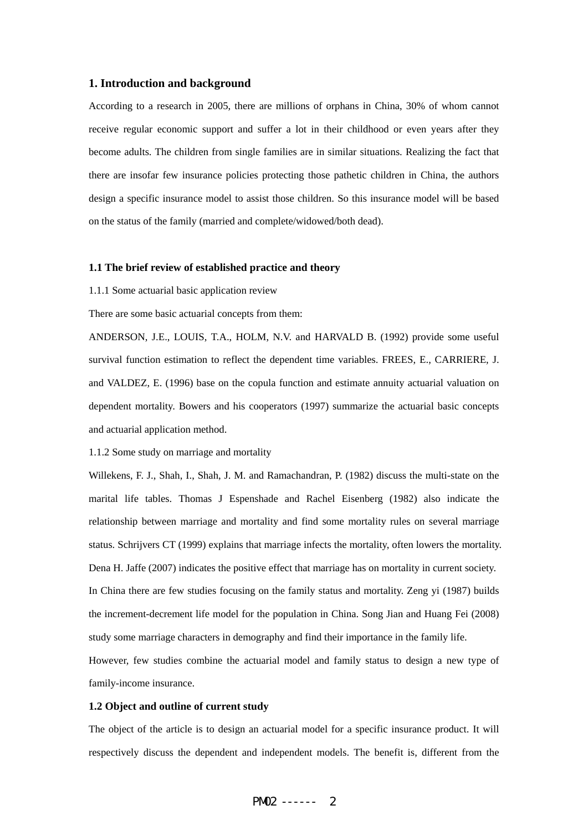## **1. Introduction and background**

According to a research in 2005, there are millions of orphans in China, 30% of whom cannot receive regular economic support and suffer a lot in their childhood or even years after they become adults. The children from single families are in similar situations. Realizing the fact that there are insofar few insurance policies protecting those pathetic children in China, the authors design a specific insurance model to assist those children. So this insurance model will be based on the status of the family (married and complete/widowed/both dead).

#### **1.1 The brief review of established practice and theory**

1.1.1 Some actuarial basic application review

There are some basic actuarial concepts from them:

ANDERSON, J.E., LOUIS, T.A., HOLM, N.V. and HARVALD B. (1992) provide some useful survival function estimation to reflect the dependent time variables. FREES, E., CARRIERE, J. and VALDEZ, E. (1996) base on the copula function and estimate annuity actuarial valuation on dependent mortality. Bowers and his cooperators (1997) summarize the actuarial basic concepts and actuarial application method.

1.1.2 Some study on marriage and mortality

Willekens, F. J., Shah, I., Shah, J. M. and Ramachandran, P. (1982) discuss the multi-state on the marital life tables. Thomas J Espenshade and Rachel Eisenberg (1982) also indicate the relationship between marriage and mortality and find some mortality rules on several marriage status. Schrijvers CT (1999) explains that marriage infects the mortality, often lowers the mortality. Dena H. Jaffe (2007) indicates the positive effect that marriage has on mortality in current society. In China there are few studies focusing on the family status and mortality. Zeng yi (1987) builds the increment-decrement life model for the population in China. Song Jian and Huang Fei (2008) study some marriage characters in demography and find their importance in the family life.

However, few studies combine the actuarial model and family status to design a new type of family-income insurance.

## **1.2 Object and outline of current study**

The object of the article is to design an actuarial model for a specific insurance product. It will respectively discuss the dependent and independent models. The benefit is, different from the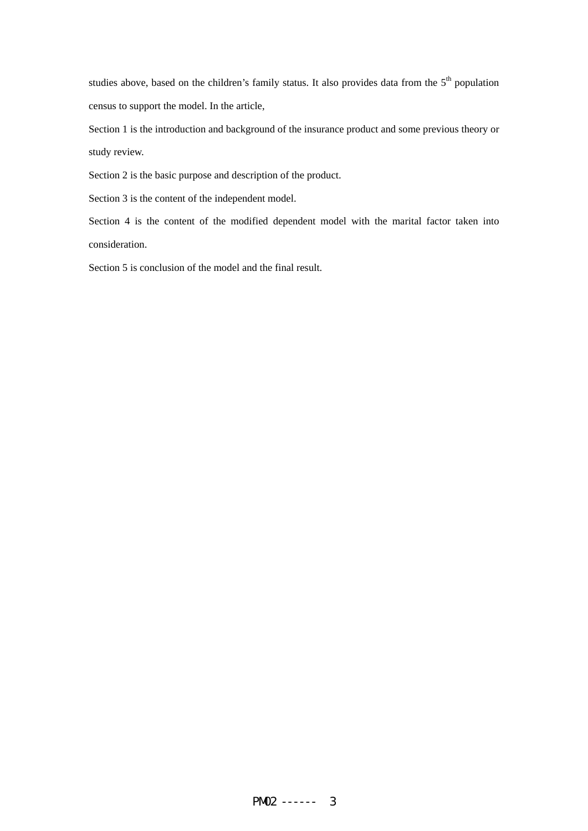studies above, based on the children's family status. It also provides data from the  $5<sup>th</sup>$  population census to support the model. In the article,

Section 1 is the introduction and background of the insurance product and some previous theory or study review.

Section 2 is the basic purpose and description of the product.

Section 3 is the content of the independent model.

Section 4 is the content of the modified dependent model with the marital factor taken into consideration.

Section 5 is conclusion of the model and the final result.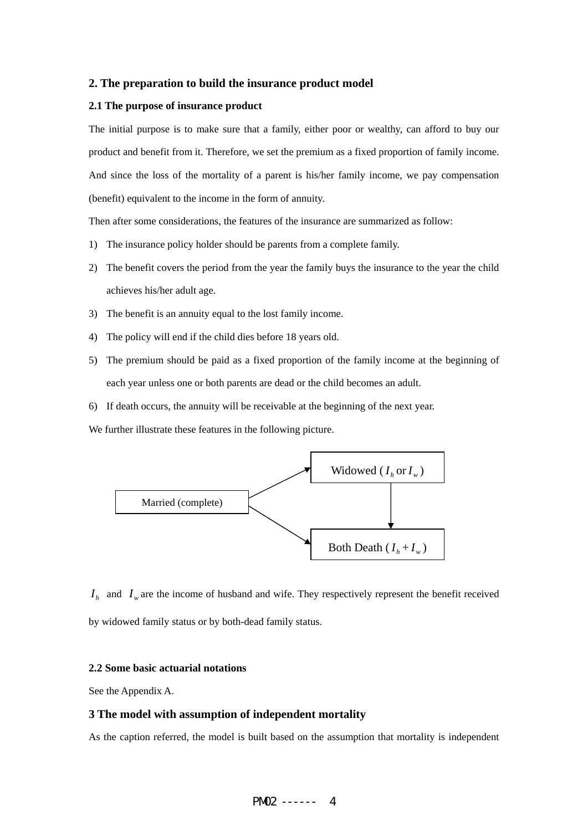### **2. The preparation to build the insurance product model**

### **2.1 The purpose of insurance product**

The initial purpose is to make sure that a family, either poor or wealthy, can afford to buy our product and benefit from it. Therefore, we set the premium as a fixed proportion of family income. And since the loss of the mortality of a parent is his/her family income, we pay compensation (benefit) equivalent to the income in the form of annuity.

Then after some considerations, the features of the insurance are summarized as follow:

- 1) The insurance policy holder should be parents from a complete family.
- 2) The benefit covers the period from the year the family buys the insurance to the year the child achieves his/her adult age.
- 3) The benefit is an annuity equal to the lost family income.
- 4) The policy will end if the child dies before 18 years old.
- 5) The premium should be paid as a fixed proportion of the family income at the beginning of each year unless one or both parents are dead or the child becomes an adult.
- 6) If death occurs, the annuity will be receivable at the beginning of the next year.

We further illustrate these features in the following picture.



 $I_h$  and  $I_w$  are the income of husband and wife. They respectively represent the benefit received by widowed family status or by both-dead family status.

### **2.2 Some basic actuarial notations**

See the Appendix A.

### **3 The model with assumption of independent mortality**

As the caption referred, the model is built based on the assumption that mortality is independent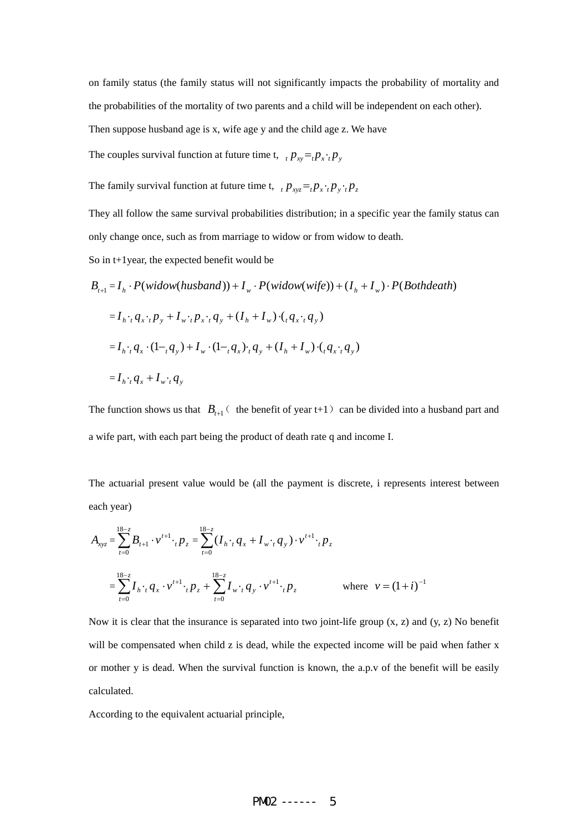on family status (the family status will not significantly impacts the probability of mortality and the probabilities of the mortality of two parents and a child will be independent on each other). Then suppose husband age is x, wife age y and the child age z. We have

The couples survival function at future time t,  $p_{xy} = p_x \cdot p_y$ 

The family survival function at future time t,  $p_{xyz} = P_x \cdot P_y \cdot P_z$ 

They all follow the same survival probabilities distribution; in a specific year the family status can only change once, such as from marriage to widow or from widow to death.

So in t+1year, the expected benefit would be

 $B_{t+1} = I_h \cdot P(widow(husband)) + I_w \cdot P(widow(wife)) + (I_h + I_w) \cdot P(Bothdeath)$  $= I_{h}:q_{x}:p_{y}+I_{w}:p_{x}:q_{y}+(I_{h}+I_{w})\cdot (q_{x}:q_{y})$  $= I_{h} \cdot (1-\alpha_{h}+I_{w})(1-\alpha_{h}+I_{w}) \cdot (1-\alpha_{h}+I_{w})(1-\alpha_{h}+I_{w}) \cdot (1-\alpha_{h}+I_{w})$  $= I_h \cdot q_x + I_w \cdot q_y$ 

The function shows us that  $B_{t+1}$  (the benefit of year t+1) can be divided into a husband part and a wife part, with each part being the product of death rate q and income I.

The actuarial present value would be (all the payment is discrete, i represents interest between each year)

$$
A_{xyz} = \sum_{t=0}^{18-z} B_{t+1} \cdot v^{t+1} \cdot {}_{t}p_{z} = \sum_{t=0}^{18-z} (I_{h} \cdot {}_{t}q_{x} + I_{w} \cdot {}_{t}q_{y}) \cdot v^{t+1} \cdot {}_{t}p_{z}
$$
  

$$
= \sum_{t=0}^{18-z} I_{h} \cdot {}_{t}q_{x} \cdot v^{t+1} \cdot {}_{t}p_{z} + \sum_{t=0}^{18-z} I_{w} \cdot {}_{t}q_{y} \cdot v^{t+1} \cdot {}_{t}p_{z} \qquad \text{where} \quad v = (1+i)^{-1}
$$

Now it is clear that the insurance is separated into two joint-life group (x, z) and (y, z) No benefit will be compensated when child z is dead, while the expected income will be paid when father x or mother y is dead. When the survival function is known, the a.p.v of the benefit will be easily calculated.

According to the equivalent actuarial principle,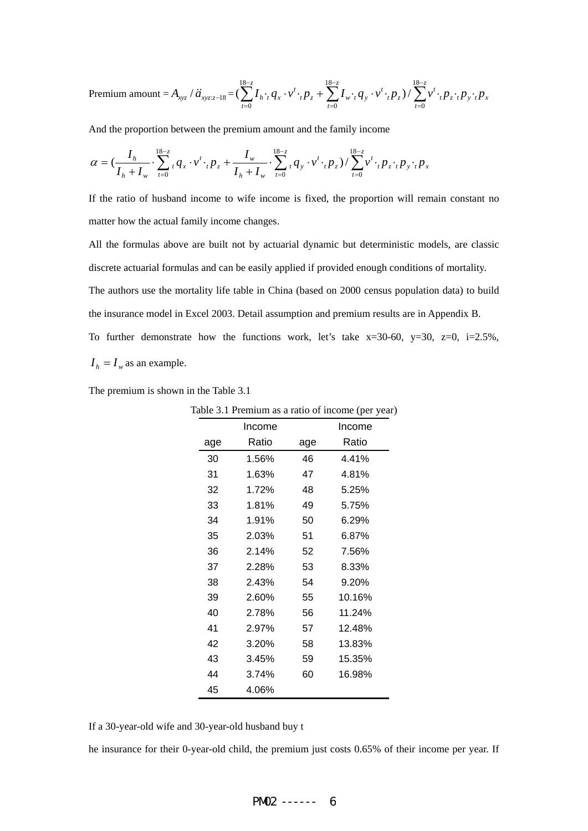$$
\text{Premium amount} = A_{xyz} / \ddot{a}_{xyz:z-18} = \left(\sum_{t=0}^{18-z} I_h \cdot q_x \cdot v^t \cdot {}_{t}p_z + \sum_{t=0}^{18-z} I_w \cdot q_y \cdot v^t \cdot {}_{t}p_z\right) / \sum_{t=0}^{18-z} v^t \cdot {}_{t}p_z \cdot {}_{t}p_y \cdot {}_{t}p_x
$$

And the proportion between the premium amount and the family income

$$
\alpha = (\frac{I_h}{I_h + I_w} \cdot \sum_{t=0}^{18-z} {}_{t}q_x \cdot v' \cdot {}_{t}p_z + \frac{I_w}{I_h + I_w} \cdot \sum_{t=0}^{18-z} {}_{t}q_y \cdot v' \cdot {}_{t}p_z) / \sum_{t=0}^{18-z} v' \cdot {}_{t}p_z \cdot {}_{t}p_y \cdot {}_{t}p_x
$$

If the ratio of husband income to wife income is fixed, the proportion will remain constant no matter how the actual family income changes.

All the formulas above are built not by actuarial dynamic but deterministic models, are classic discrete actuarial formulas and can be easily applied if provided enough conditions of mortality. The authors use the mortality life table in China (based on 2000 census population data) to build the insurance model in Excel 2003. Detail assumption and premium results are in Appendix B. To further demonstrate how the functions work, let's take  $x=30-60$ ,  $y=30$ ,  $z=0$ ,  $i=2.5\%$ ,  $I_h = I_w$  as an example.

The premium is shown in the Table 3.1

|     |        |     | $1000$ $3.1$ Termum as a ratio of meome (per year) |
|-----|--------|-----|----------------------------------------------------|
|     | Income |     | Income                                             |
| age | Ratio  | age | Ratio                                              |
| 30  | 1.56%  | 46  | 4.41%                                              |
| 31  | 1.63%  | 47  | 4.81%                                              |
| 32  | 1.72%  | 48  | 5.25%                                              |
| 33  | 1.81%  | 49  | 5.75%                                              |
| 34  | 1.91%  | 50  | 6.29%                                              |
| 35  | 2.03%  | 51  | 6.87%                                              |
| 36  | 2.14%  | 52  | 7.56%                                              |
| 37  | 2.28%  | 53  | 8.33%                                              |
| 38  | 2.43%  | 54  | 9.20%                                              |
| 39  | 2.60%  | 55  | 10.16%                                             |
| 40  | 2.78%  | 56  | 11.24%                                             |
| 41  | 2.97%  | 57  | 12.48%                                             |
| 42  | 3.20%  | 58  | 13.83%                                             |
| 43  | 3.45%  | 59  | 15.35%                                             |
| 44  | 3.74%  | 60  | 16.98%                                             |
| 45  | 4.06%  |     |                                                    |

Table 3.1 Premium as a ratio of income (per year)

If a 30-year-old wife and 30-year-old husband buy t

he insurance for their 0-year-old child, the premium just costs 0.65% of their income per year. If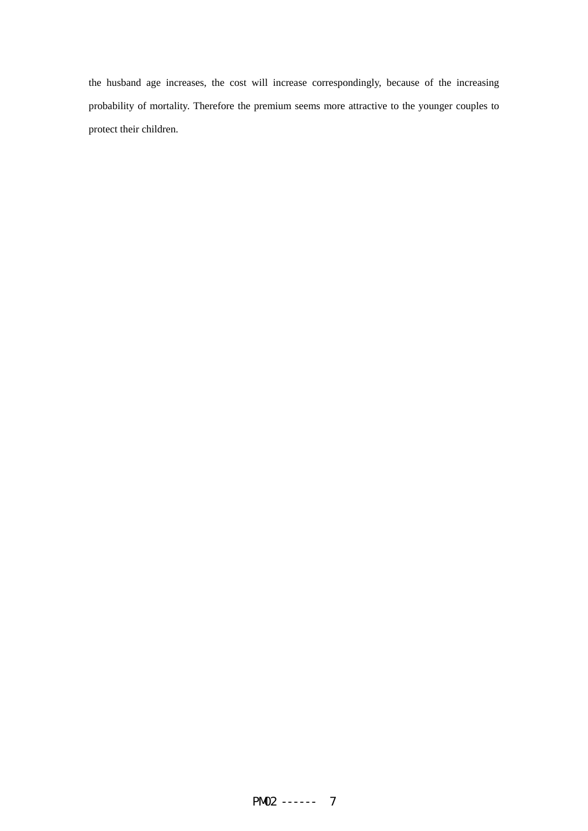the husband age increases, the cost will increase correspondingly, because of the increasing probability of mortality. Therefore the premium seems more attractive to the younger couples to protect their children.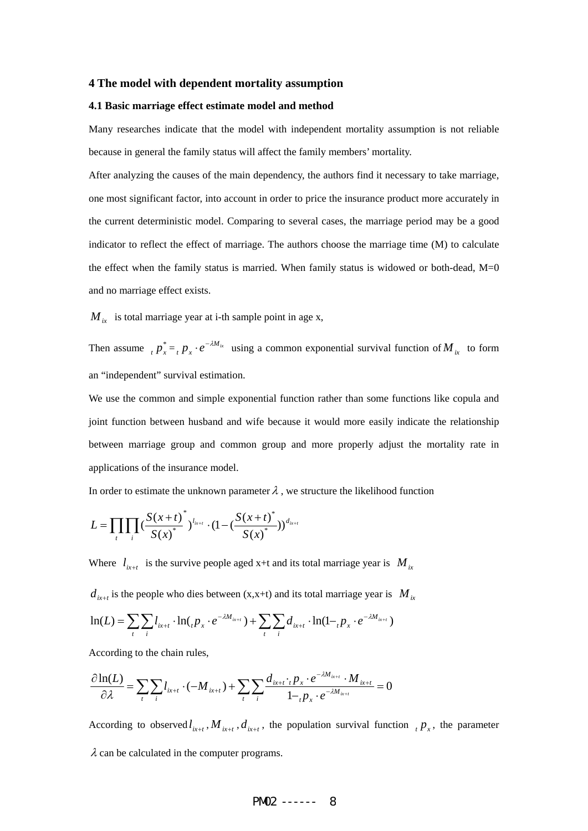### **4 The model with dependent mortality assumption**

#### **4.1 Basic marriage effect estimate model and method**

Many researches indicate that the model with independent mortality assumption is not reliable because in general the family status will affect the family members' mortality.

After analyzing the causes of the main dependency, the authors find it necessary to take marriage, one most significant factor, into account in order to price the insurance product more accurately in the current deterministic model. Comparing to several cases, the marriage period may be a good indicator to reflect the effect of marriage. The authors choose the marriage time (M) to calculate the effect when the family status is married. When family status is widowed or both-dead,  $M=0$ and no marriage effect exists.

 $M_{ix}$  is total marriage year at i-th sample point in age x,

Then assume  ${}_{t} p_{x}^{*} = {}_{t} p_{x} \cdot e^{-\lambda M_{ix}}$  using a common exponential survival function of  $M_{ix}$  to form an "independent" survival estimation.

We use the common and simple exponential function rather than some functions like copula and joint function between husband and wife because it would more easily indicate the relationship between marriage group and common group and more properly adjust the mortality rate in applications of the insurance model.

In order to estimate the unknown parameter  $\lambda$  , we structure the likelihood function

$$
L = \prod_{t} \prod_{i} \left( \frac{S(x+t)^{*}}{S(x)^{*}} \right)^{l_{i_{k+t}}} \cdot \left(1 - \left( \frac{S(x+t)^{*}}{S(x)^{*}} \right) \right)^{d_{i_{k+t}}}
$$

Where  $l_{i x+t}$  is the survive people aged x+t and its total marriage year is  $M_{i x}$ 

 $d_{i x+t}$  is the people who dies between (x,x+t) and its total marriage year is  $M_{i x}$ 

$$
\ln(L) = \sum_{t} \sum_{i} l_{ix+t} \cdot \ln(l_{t} p_{x} \cdot e^{-\lambda M_{ix+t}}) + \sum_{t} \sum_{i} d_{ix+t} \cdot \ln(l_{t} p_{x} \cdot e^{-\lambda M_{ix+t}})
$$

According to the chain rules,

$$
\frac{\partial \ln(L)}{\partial \lambda} = \sum_{t} \sum_{i} l_{ix+t} \cdot (-M_{ix+t}) + \sum_{t} \sum_{i} \frac{d_{ix+t} \cdot p_{x} \cdot e^{-\lambda M_{ix+t}} \cdot M_{ix+t}}{1 - p_{x} \cdot e^{-\lambda M_{ix+t}}} = 0
$$

According to observed  $l_{i+1}$ ,  $M_{i+1}$ ,  $d_{i+1}$ , the population survival function  $p_x$ , the parameter  $\lambda$  can be calculated in the computer programs.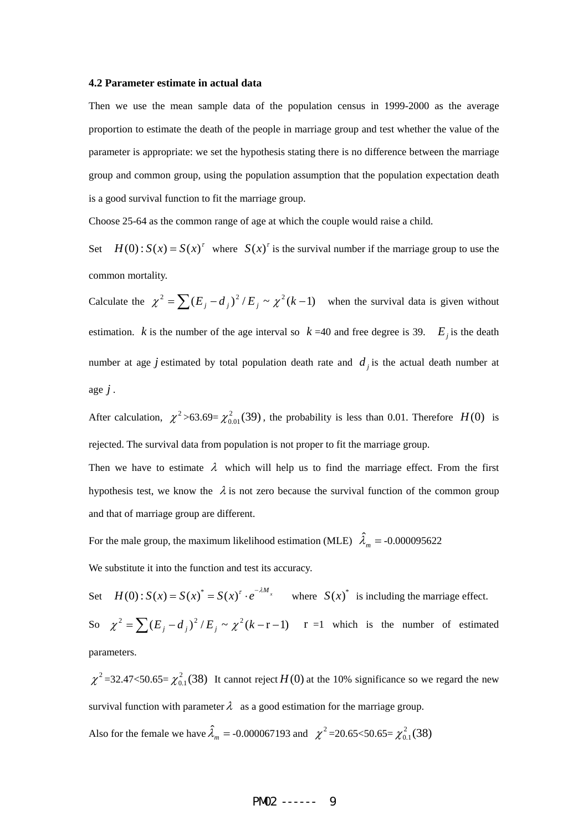#### **4.2 Parameter estimate in actual data**

Then we use the mean sample data of the population census in 1999-2000 as the average proportion to estimate the death of the people in marriage group and test whether the value of the parameter is appropriate: we set the hypothesis stating there is no difference between the marriage group and common group, using the population assumption that the population expectation death is a good survival function to fit the marriage group.

Choose 25-64 as the common range of age at which the couple would raise a child.

Set  $H(0): S(x) = S(x)^{\tau}$  where  $S(x)^{\tau}$  is the survival number if the marriage group to use the common mortality.

Calculate the  $\chi^2 = \sum (E_i - d_i)^2 / E_i \sim \chi^2 (k-1)$  when the survival data is given without estimation. *k* is the number of the age interval so  $k = 40$  and free degree is 39.  $E_i$  is the death number at age *j* estimated by total population death rate and  $d_i$  is the actual death number at age *j* .

After calculation,  $\chi^2 > 63.69 = \chi^2_{0.01}(39)$ , the probability is less than 0.01. Therefore *H*(0) is rejected. The survival data from population is not proper to fit the marriage group.

Then we have to estimate  $\lambda$  which will help us to find the marriage effect. From the first hypothesis test, we know the  $\lambda$  is not zero because the survival function of the common group and that of marriage group are different.

For the male group, the maximum likelihood estimation (MLE)  $\hat{\lambda}_m = -0.000095622$ We substitute it into the function and test its accuracy.

Set  $H(0)$ :  $S(x) = S(x)^* = S(x)^t \cdot e^{-\lambda M_x}$  where  $S(x)^*$  is including the marriage effect. So  $\chi^2 = \sum (E_i - d_i)^2 / E_i \sim \chi^2 (k - r - 1)$   $r =1$  which is the number of estimated parameters.

 $\chi^2$ =32.47<50.65= $\chi^2_{0.1}$ (38) It cannot reject *H*(0) at the 10% significance so we regard the new survival function with parameter  $\lambda$  as a good estimation for the marriage group.

Also for the female we have  $\hat{\lambda}_m = -0.000067193$  and  $\chi^2 = 20.65 < 50.65 = \chi^2_{0.1}(38)$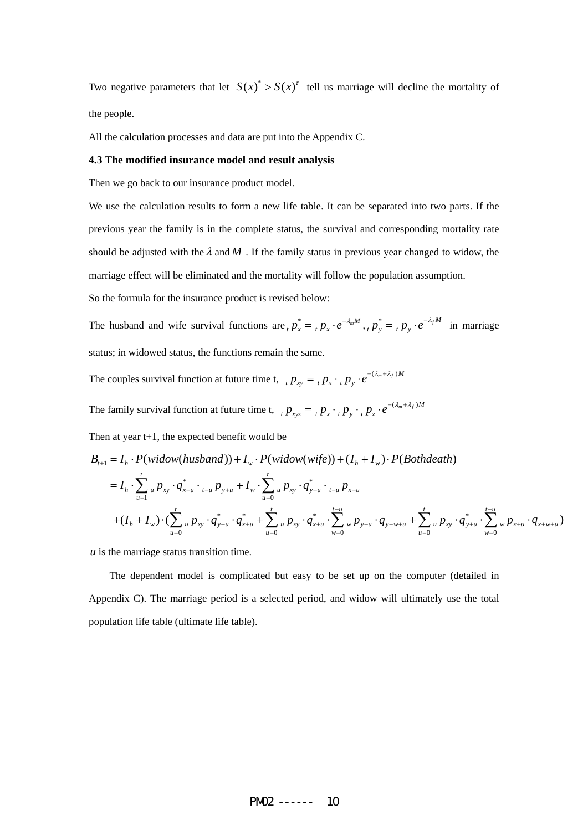Two negative parameters that let  $S(x)^* > S(x)^t$  tell us marriage will decline the mortality of the people.

All the calculation processes and data are put into the Appendix C.

### **4.3 The modified insurance model and result analysis**

Then we go back to our insurance product model.

We use the calculation results to form a new life table. It can be separated into two parts. If the previous year the family is in the complete status, the survival and corresponding mortality rate should be adjusted with the  $\lambda$  and  $M$ . If the family status in previous year changed to widow, the marriage effect will be eliminated and the mortality will follow the population assumption.

So the formula for the insurance product is revised below:

The husband and wife survival functions are  $_{t} p_{x}^{*} = {}_{t} p_{x} \cdot e^{-\lambda_{m} M}$ ,  $_{t} p_{y}^{*} = {}_{t} p_{y} \cdot e^{-\lambda_{f} M}$  in marriage status; in widowed status, the functions remain the same.

The couples survival function at future time t,  ${}_{t} p_{xy} = {}_{t} p_{x} \cdot {}_{t} p_{y} \cdot e^{-(\lambda_m + \lambda_f)M}$ 

The family survival function at future time t,  ${}_{t} p_{xyz} = {}_{t} p_x \cdot {}_{t} p_y \cdot {}_{t} p_z \cdot e^{-(\lambda_m + \lambda_f)M}$ 

Then at year t+1, the expected benefit would be

$$
B_{t+1} = I_h \cdot P(widow(husband)) + I_w \cdot P(widow(wife)) + (I_h + I_w) \cdot P(Bothdeath)
$$

$$
=I_{h} \cdot \sum_{u=1}^{t} {}_{u} p_{xy} \cdot q_{x+u}^{*} \cdot {}_{t-u} p_{y+u} + I_{w} \cdot \sum_{u=0}^{t} {}_{u} p_{xy} \cdot q_{y+u}^{*} \cdot {}_{t-u} p_{x+u}
$$
  
+ $(I_{h} + I_{w}) \cdot (\sum_{u=0}^{t} {}_{u} p_{xy} \cdot q_{y+u}^{*} \cdot q_{x+u}^{*} + \sum_{u=0}^{t} {}_{u} p_{xy} \cdot q_{x+u}^{*} \cdot \sum_{w=0}^{t-u} {}_{w} p_{y+u} \cdot q_{y+w+u} + \sum_{u=0}^{t} {}_{u} p_{xy} \cdot q_{y+u}^{*} \cdot \sum_{w=0}^{t-u} {}_{w} p_{x+u} \cdot q_{x+w+u})$ 

*u* is the marriage status transition time.

The dependent model is complicated but easy to be set up on the computer (detailed in Appendix C). The marriage period is a selected period, and widow will ultimately use the total population life table (ultimate life table).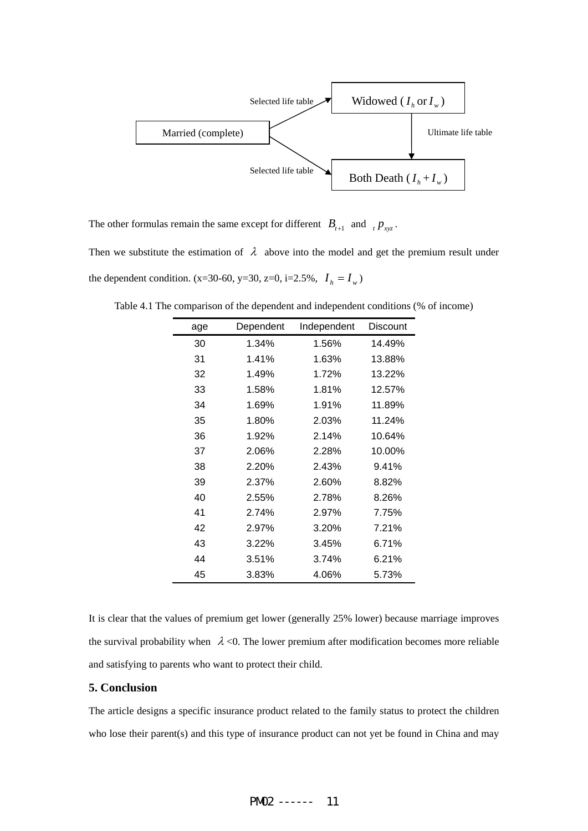

The other formulas remain the same except for different  $B_{t+1}$  and  $t P_{xyz}$ .

Then we substitute the estimation of  $\lambda$  above into the model and get the premium result under the dependent condition. (x=30-60, y=30, z=0, i=2.5%,  $I_h = I_w$ )

| age | Dependent | Independent | Discount |
|-----|-----------|-------------|----------|
| 30  | 1.34%     | 1.56%       | 14.49%   |
| 31  | 1.41%     | 1.63%       | 13.88%   |
| 32  | 1.49%     | 1.72%       | 13.22%   |
| 33  | 1.58%     | 1.81%       | 12.57%   |
| 34  | 1.69%     | 1.91%       | 11.89%   |
| 35  | 1.80%     | 2.03%       | 11.24%   |
| 36  | 1.92%     | 2.14%       | 10.64%   |
| 37  | 2.06%     | 2.28%       | 10.00%   |
| 38  | 2.20%     | 2.43%       | 9.41%    |
| 39  | 2.37%     | 2.60%       | 8.82%    |
| 40  | 2.55%     | 2.78%       | 8.26%    |
| 41  | 2.74%     | 2.97%       | 7.75%    |
| 42  | 2.97%     | 3.20%       | 7.21%    |
| 43  | 3.22%     | 3.45%       | 6.71%    |
| 44  | 3.51%     | 3.74%       | 6.21%    |
| 45  | 3.83%     | 4.06%       | 5.73%    |

Table 4.1 The comparison of the dependent and independent conditions (% of income)

It is clear that the values of premium get lower (generally 25% lower) because marriage improves the survival probability when  $\lambda$  <0. The lower premium after modification becomes more reliable and satisfying to parents who want to protect their child.

## **5. Conclusion**

The article designs a specific insurance product related to the family status to protect the children who lose their parent(s) and this type of insurance product can not yet be found in China and may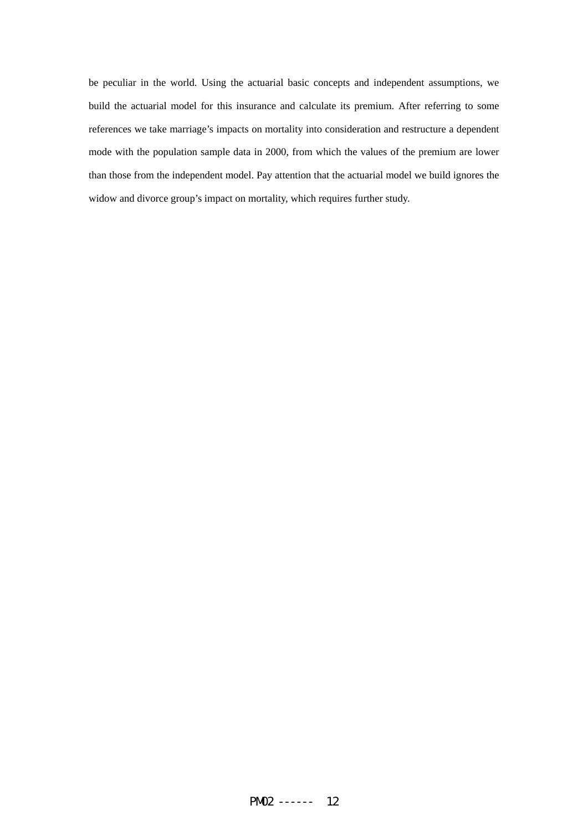be peculiar in the world. Using the actuarial basic concepts and independent assumptions, we build the actuarial model for this insurance and calculate its premium. After referring to some references we take marriage's impacts on mortality into consideration and restructure a dependent mode with the population sample data in 2000, from which the values of the premium are lower than those from the independent model. Pay attention that the actuarial model we build ignores the widow and divorce group's impact on mortality, which requires further study.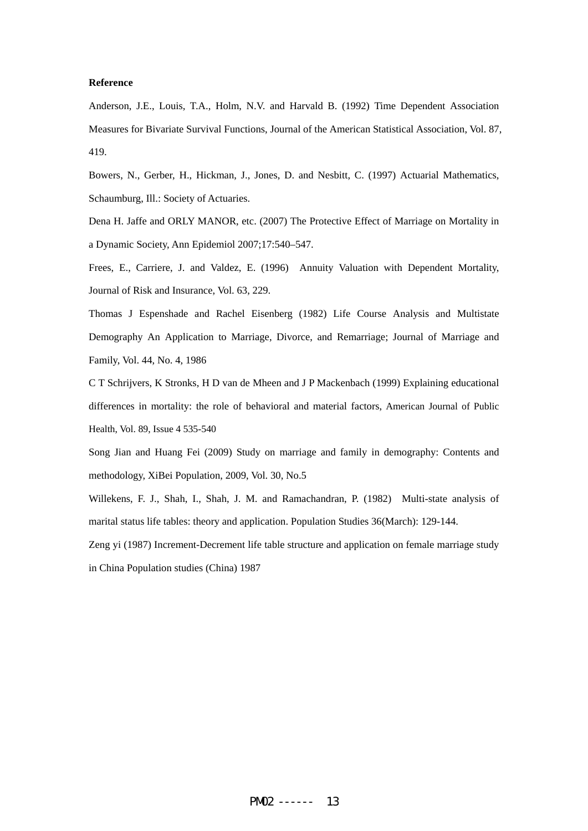### **Reference**

Anderson, J.E., Louis, T.A., Holm, N.V. and Harvald B. (1992) Time Dependent Association Measures for Bivariate Survival Functions, Journal of the American Statistical Association, Vol. 87, 419.

Bowers, N., Gerber, H., Hickman, J., Jones, D. and Nesbitt, C. (1997) Actuarial Mathematics, Schaumburg, Ill.: Society of Actuaries.

Dena H. Jaffe and ORLY MANOR, etc. (2007) The Protective Effect of Marriage on Mortality in a Dynamic Society, Ann Epidemiol 2007;17:540–547.

Frees, E., Carriere, J. and Valdez, E. (1996) Annuity Valuation with Dependent Mortality, Journal of Risk and Insurance, Vol. 63, 229.

Thomas J Espenshade and Rachel Eisenberg (1982) Life Course Analysis and Multistate Demography An Application to Marriage, Divorce, and Remarriage; Journal of Marriage and Family, Vol. 44, No. 4, 1986

C T Schrijvers, K Stronks, H D van de Mheen and J P Mackenbach (1999) Explaining educational differences in mortality: the role of behavioral and material factors, American Journal of Public Health, Vol. 89, Issue 4 535-540

Song Jian and Huang Fei (2009) Study on marriage and family in demography: Contents and methodology, XiBei Population, 2009, Vol. 30, No.5

Willekens, F. J., Shah, I., Shah, J. M. and Ramachandran, P. (1982) Multi-state analysis of marital status life tables: theory and application. Population Studies 36(March): 129-144.

Zeng yi (1987) Increment-Decrement life table structure and application on female marriage study in China Population studies (China) 1987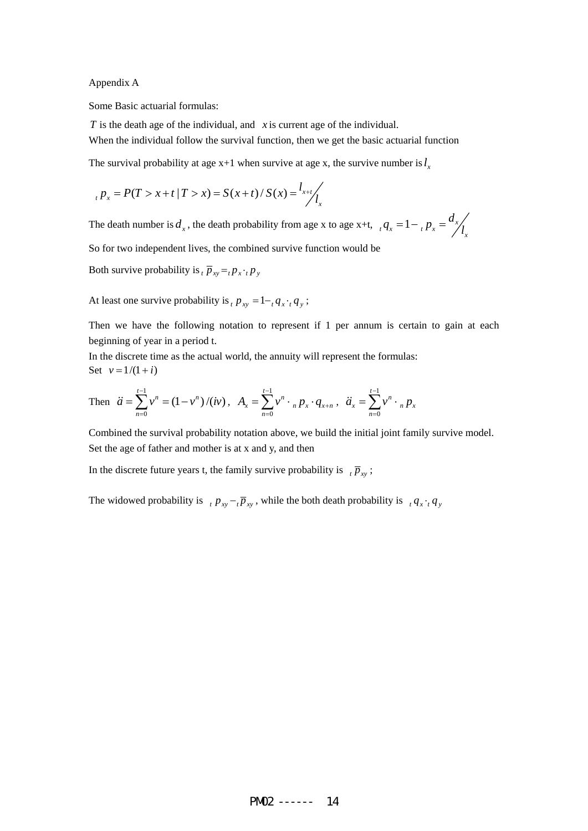Appendix A

Some Basic actuarial formulas:

*T* is the death age of the individual, and *x* is current age of the individual.

When the individual follow the survival function, then we get the basic actuarial function

The survival probability at age  $x+1$  when survive at age x, the survive number is  $l_x$ 

$$
{}_{t} p_{x} = P(T > x + t | T > x) = S(x + t) / S(x) = \frac{l_{x+t}}{l_{x}}
$$

The death number is  $d_x$ , the death probability from age x to age x+t,  $d_x = 1 - \frac{d_x}{d_x}$ 

So for two independent lives, the combined survive function would be

Both survive probability is  $_{t}\bar{p}_{xy} =_{t} p_{x} \cdot_{t} p_{y}$ 

At least one survive probability is  $_p p_{xy} = 1 - q_x \cdot q_y$ ;

Then we have the following notation to represent if 1 per annum is certain to gain at each beginning of year in a period t.

In the discrete time as the actual world, the annuity will represent the formulas: Set  $v = 1/(1 + i)$ 

Then 
$$
\ddot{a} = \sum_{n=0}^{t-1} v^n = (1 - v^n) / (iv)
$$
,  $A_x = \sum_{n=0}^{t-1} v^n \cdot {}_n p_x \cdot q_{x+n}$ ,  $\ddot{a}_x = \sum_{n=0}^{t-1} v^n \cdot {}_n p_x$ 

Combined the survival probability notation above, we build the initial joint family survive model. Set the age of father and mother is at x and y, and then

In the discrete future years t, the family survive probability is  $\bar{p}_x$ ;

The widowed probability is  $p_{xy} - p_{xy}$ , while the both death probability is  $q_x \cdot q_y$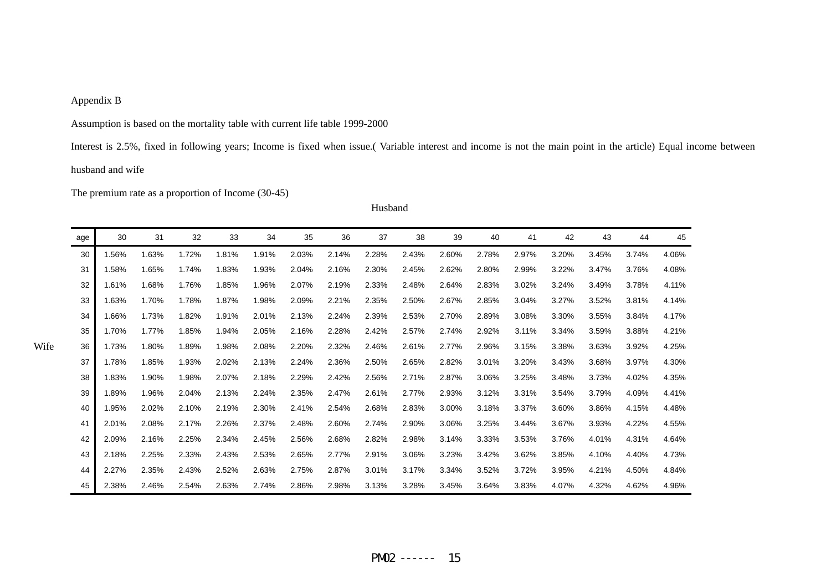## Appendix B

Assumption is based on the mortality table with current life table 1999-2000

Interest is 2.5%, fixed in following years; Income is fixed when issue.( Variable interest and income is not the main point in the article) Equal income between husband and wife

The premium rate as a proportion of Income (30-45)

| Husband |
|---------|
|         |

| age | 30    | 31    | 32    | 33    | 34    | 35    | 36    | 37    | 38    | 39    | 40    | 41    | 42    | 43    | 44    | 45    |
|-----|-------|-------|-------|-------|-------|-------|-------|-------|-------|-------|-------|-------|-------|-------|-------|-------|
| 30  | .56%  | 1.63% | 1.72% | 1.81% | 1.91% | 2.03% | 2.14% | 2.28% | 2.43% | 2.60% | 2.78% | 2.97% | 3.20% | 3.45% | 3.74% | 4.06% |
| 31  | 1.58% | 1.65% | 1.74% | 1.83% | 1.93% | 2.04% | 2.16% | 2.30% | 2.45% | 2.62% | 2.80% | 2.99% | 3.22% | 3.47% | 3.76% | 4.08% |
| 32  | .61%  | 1.68% | 1.76% | 1.85% | 1.96% | 2.07% | 2.19% | 2.33% | 2.48% | 2.64% | 2.83% | 3.02% | 3.24% | 3.49% | 3.78% | 4.11% |
| 33  | 1.63% | 1.70% | 1.78% | 1.87% | 1.98% | 2.09% | 2.21% | 2.35% | 2.50% | 2.67% | 2.85% | 3.04% | 3.27% | 3.52% | 3.81% | 4.14% |
| 34  | .66%  | 1.73% | 1.82% | 1.91% | 2.01% | 2.13% | 2.24% | 2.39% | 2.53% | 2.70% | 2.89% | 3.08% | 3.30% | 3.55% | 3.84% | 4.17% |
| 35  | 1.70% | 1.77% | 1.85% | 1.94% | 2.05% | 2.16% | 2.28% | 2.42% | 2.57% | 2.74% | 2.92% | 3.11% | 3.34% | 3.59% | 3.88% | 4.21% |
| 36  | 1.73% | 1.80% | 1.89% | 1.98% | 2.08% | 2.20% | 2.32% | 2.46% | 2.61% | 2.77% | 2.96% | 3.15% | 3.38% | 3.63% | 3.92% | 4.25% |
| 37  | 1.78% | 1.85% | 1.93% | 2.02% | 2.13% | 2.24% | 2.36% | 2.50% | 2.65% | 2.82% | 3.01% | 3.20% | 3.43% | 3.68% | 3.97% | 4.30% |
| 38  | 1.83% | 1.90% | 1.98% | 2.07% | 2.18% | 2.29% | 2.42% | 2.56% | 2.71% | 2.87% | 3.06% | 3.25% | 3.48% | 3.73% | 4.02% | 4.35% |
| 39  | .89%  | 1.96% | 2.04% | 2.13% | 2.24% | 2.35% | 2.47% | 2.61% | 2.77% | 2.93% | 3.12% | 3.31% | 3.54% | 3.79% | 4.09% | 4.41% |
| 40  | 1.95% | 2.02% | 2.10% | 2.19% | 2.30% | 2.41% | 2.54% | 2.68% | 2.83% | 3.00% | 3.18% | 3.37% | 3.60% | 3.86% | 4.15% | 4.48% |
| 41  | 2.01% | 2.08% | 2.17% | 2.26% | 2.37% | 2.48% | 2.60% | 2.74% | 2.90% | 3.06% | 3.25% | 3.44% | 3.67% | 3.93% | 4.22% | 4.55% |
| 42  | 2.09% | 2.16% | 2.25% | 2.34% | 2.45% | 2.56% | 2.68% | 2.82% | 2.98% | 3.14% | 3.33% | 3.53% | 3.76% | 4.01% | 4.31% | 4.64% |
| 43  | 2.18% | 2.25% | 2.33% | 2.43% | 2.53% | 2.65% | 2.77% | 2.91% | 3.06% | 3.23% | 3.42% | 3.62% | 3.85% | 4.10% | 4.40% | 4.73% |
| 44  | 2.27% | 2.35% | 2.43% | 2.52% | 2.63% | 2.75% | 2.87% | 3.01% | 3.17% | 3.34% | 3.52% | 3.72% | 3.95% | 4.21% | 4.50% | 4.84% |
| 45  | 2.38% | 2.46% | 2.54% | 2.63% | 2.74% | 2.86% | 2.98% | 3.13% | 3.28% | 3.45% | 3.64% | 3.83% | 4.07% | 4.32% | 4.62% | 4.96% |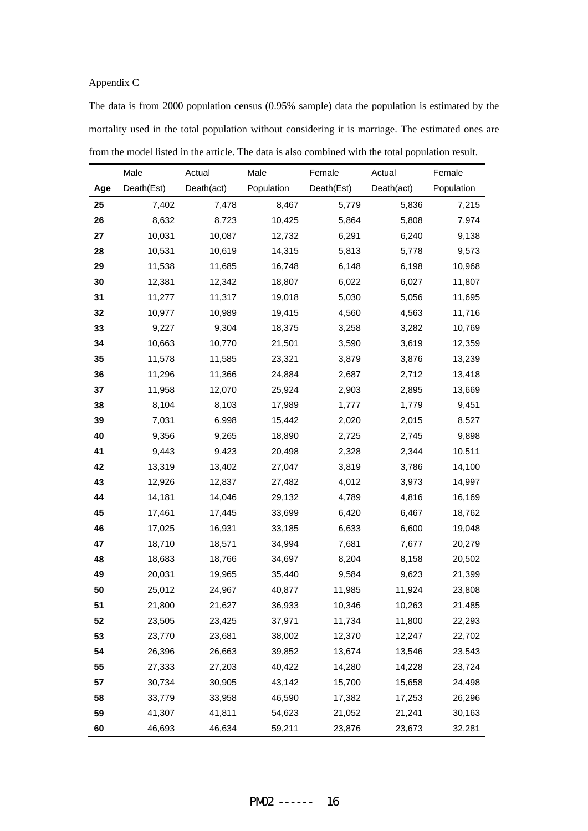## Appendix C

The data is from 2000 population census (0.95% sample) data the population is estimated by the mortality used in the total population without considering it is marriage. The estimated ones are from the model listed in the article. The data is also combined with the total population result.

|     | Male       | Actual     | Male       | Female     | Actual     | Female     |
|-----|------------|------------|------------|------------|------------|------------|
| Age | Death(Est) | Death(act) | Population | Death(Est) | Death(act) | Population |
| 25  | 7,402      | 7,478      | 8,467      | 5,779      | 5,836      | 7,215      |
| 26  | 8,632      | 8,723      | 10,425     | 5,864      | 5,808      | 7,974      |
| 27  | 10,031     | 10,087     | 12,732     | 6,291      | 6,240      | 9,138      |
| 28  | 10,531     | 10,619     | 14,315     | 5,813      | 5,778      | 9,573      |
| 29  | 11,538     | 11,685     | 16,748     | 6,148      | 6,198      | 10,968     |
| 30  | 12,381     | 12,342     | 18,807     | 6,022      | 6,027      | 11,807     |
| 31  | 11,277     | 11,317     | 19,018     | 5,030      | 5,056      | 11,695     |
| 32  | 10,977     | 10,989     | 19,415     | 4,560      | 4,563      | 11,716     |
| 33  | 9,227      | 9,304      | 18,375     | 3,258      | 3,282      | 10,769     |
| 34  | 10,663     | 10,770     | 21,501     | 3,590      | 3,619      | 12,359     |
| 35  | 11,578     | 11,585     | 23,321     | 3,879      | 3,876      | 13,239     |
| 36  | 11,296     | 11,366     | 24,884     | 2,687      | 2,712      | 13,418     |
| 37  | 11,958     | 12,070     | 25,924     | 2,903      | 2,895      | 13,669     |
| 38  | 8,104      | 8,103      | 17,989     | 1,777      | 1,779      | 9,451      |
| 39  | 7,031      | 6,998      | 15,442     | 2,020      | 2,015      | 8,527      |
| 40  | 9,356      | 9,265      | 18,890     | 2,725      | 2,745      | 9,898      |
| 41  | 9,443      | 9,423      | 20,498     | 2,328      | 2,344      | 10,511     |
| 42  | 13,319     | 13,402     | 27,047     | 3,819      | 3,786      | 14,100     |
| 43  | 12,926     | 12,837     | 27,482     | 4,012      | 3,973      | 14,997     |
| 44  | 14,181     | 14,046     | 29,132     | 4,789      | 4,816      | 16,169     |
| 45  | 17,461     | 17,445     | 33,699     | 6,420      | 6,467      | 18,762     |
| 46  | 17,025     | 16,931     | 33,185     | 6,633      | 6,600      | 19,048     |
| 47  | 18,710     | 18,571     | 34,994     | 7,681      | 7,677      | 20,279     |
| 48  | 18,683     | 18,766     | 34,697     | 8,204      | 8,158      | 20,502     |
| 49  | 20,031     | 19,965     | 35,440     | 9,584      | 9,623      | 21,399     |
| 50  | 25,012     | 24,967     | 40,877     | 11,985     | 11,924     | 23,808     |
| 51  | 21,800     | 21,627     | 36,933     | 10,346     | 10,263     | 21,485     |
| 52  | 23,505     | 23,425     | 37,971     | 11,734     | 11,800     | 22,293     |
| 53  | 23,770     | 23,681     | 38,002     | 12,370     | 12,247     | 22,702     |
| 54  | 26,396     | 26,663     | 39,852     | 13,674     | 13,546     | 23,543     |
| 55  | 27,333     | 27,203     | 40,422     | 14,280     | 14,228     | 23,724     |
| 57  | 30,734     | 30,905     | 43,142     | 15,700     | 15,658     | 24,498     |
| 58  | 33,779     | 33,958     | 46,590     | 17,382     | 17,253     | 26,296     |
| 59  | 41,307     | 41,811     | 54,623     | 21,052     | 21,241     | 30,163     |
| 60  | 46,693     | 46,634     | 59,211     | 23,876     | 23,673     | 32,281     |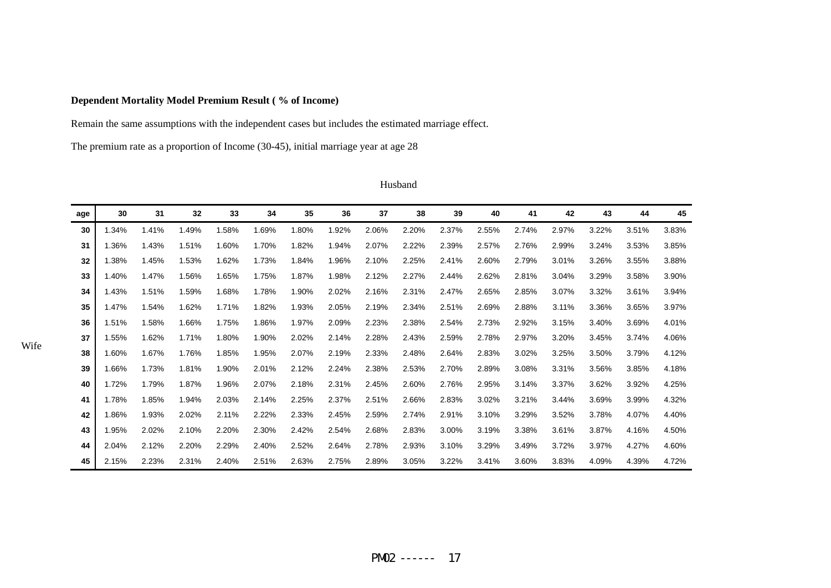## **Dependent Mortality Model Premium Result ( % of Income)**

Remain the same assumptions with the independent cases but includes the estimated marriage effect.

The premium rate as a proportion of Income (30-45), initial marriage year at age 28

| age | 30    | 31    | 32    | 33    | 34    | 35    | 36    | 37    | 38    | 39    | 40    | 41    | 42    | 43    | 44    | 45    |
|-----|-------|-------|-------|-------|-------|-------|-------|-------|-------|-------|-------|-------|-------|-------|-------|-------|
| 30  | 1.34% | 1.41% | 1.49% | 1.58% | 1.69% | 1.80% | 1.92% | 2.06% | 2.20% | 2.37% | 2.55% | 2.74% | 2.97% | 3.22% | 3.51% | 3.83% |
| 31  | .36%  | 1.43% | 1.51% | 1.60% | 1.70% | 1.82% | 1.94% | 2.07% | 2.22% | 2.39% | 2.57% | 2.76% | 2.99% | 3.24% | 3.53% | 3.85% |
| 32  | .38%  | 1.45% | 1.53% | 1.62% | 1.73% | 1.84% | 1.96% | 2.10% | 2.25% | 2.41% | 2.60% | 2.79% | 3.01% | 3.26% | 3.55% | 3.88% |
| 33  | 1.40% | 1.47% | 1.56% | 1.65% | 1.75% | 1.87% | 1.98% | 2.12% | 2.27% | 2.44% | 2.62% | 2.81% | 3.04% | 3.29% | 3.58% | 3.90% |
| 34  | 1.43% | 1.51% | 1.59% | 1.68% | 1.78% | 1.90% | 2.02% | 2.16% | 2.31% | 2.47% | 2.65% | 2.85% | 3.07% | 3.32% | 3.61% | 3.94% |
| 35  | .47%  | 1.54% | 1.62% | 1.71% | 1.82% | 1.93% | 2.05% | 2.19% | 2.34% | 2.51% | 2.69% | 2.88% | 3.11% | 3.36% | 3.65% | 3.97% |
| 36  | 1.51% | 1.58% | 1.66% | 1.75% | 1.86% | 1.97% | 2.09% | 2.23% | 2.38% | 2.54% | 2.73% | 2.92% | 3.15% | 3.40% | 3.69% | 4.01% |
| 37  | .55%  | 1.62% | 1.71% | 1.80% | 1.90% | 2.02% | 2.14% | 2.28% | 2.43% | 2.59% | 2.78% | 2.97% | 3.20% | 3.45% | 3.74% | 4.06% |
| 38  | 1.60% | 1.67% | 1.76% | 1.85% | 1.95% | 2.07% | 2.19% | 2.33% | 2.48% | 2.64% | 2.83% | 3.02% | 3.25% | 3.50% | 3.79% | 4.12% |
| 39  | 1.66% | 1.73% | 1.81% | 1.90% | 2.01% | 2.12% | 2.24% | 2.38% | 2.53% | 2.70% | 2.89% | 3.08% | 3.31% | 3.56% | 3.85% | 4.18% |
| 40  | 1.72% | 1.79% | 1.87% | 1.96% | 2.07% | 2.18% | 2.31% | 2.45% | 2.60% | 2.76% | 2.95% | 3.14% | 3.37% | 3.62% | 3.92% | 4.25% |
| 41  | 1.78% | 1.85% | 1.94% | 2.03% | 2.14% | 2.25% | 2.37% | 2.51% | 2.66% | 2.83% | 3.02% | 3.21% | 3.44% | 3.69% | 3.99% | 4.32% |
| 42  | .86%  | 1.93% | 2.02% | 2.11% | 2.22% | 2.33% | 2.45% | 2.59% | 2.74% | 2.91% | 3.10% | 3.29% | 3.52% | 3.78% | 4.07% | 4.40% |
| 43  | 1.95% | 2.02% | 2.10% | 2.20% | 2.30% | 2.42% | 2.54% | 2.68% | 2.83% | 3.00% | 3.19% | 3.38% | 3.61% | 3.87% | 4.16% | 4.50% |
| 44  | 2.04% | 2.12% | 2.20% | 2.29% | 2.40% | 2.52% | 2.64% | 2.78% | 2.93% | 3.10% | 3.29% | 3.49% | 3.72% | 3.97% | 4.27% | 4.60% |
| 45  | 2.15% | 2.23% | 2.31% | 2.40% | 2.51% | 2.63% | 2.75% | 2.89% | 3.05% | 3.22% | 3.41% | 3.60% | 3.83% | 4.09% | 4.39% | 4.72% |

#### Husband